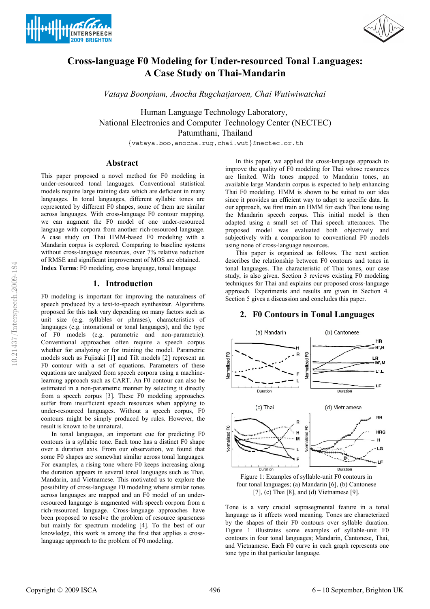



# **Cross-language F0 Modeling for Under-resourced Tonal Languages: A Case Study on Thai-Mandarin**

*Vataya Boonpiam, Anocha Rugchatjaroen, Chai Wutiwiwatchai*

Human Language Technology Laboratory, National Electronics and Computer Technology Center (NECTEC) Patumthani, Thailand

{vataya.boo,anocha.rug,chai.wut}@nectec.or.th

## **Abstract**

This paper proposed a novel method for F0 modeling in under-resourced tonal languages. Conventional statistical models require large training data which are deficient in many languages. In tonal languages, different syllabic tones are represented by different F0 shapes, some of them are similar across languages. With cross-language F0 contour mapping, we can augment the F0 model of one under-resourced language with corpora from another rich-resourced language. A case study on Thai HMM-based F0 modeling with a Mandarin corpus is explored. Comparing to baseline systems without cross-language resources, over 7% relative reduction of RMSE and significant improvement of MOS are obtained. **Index Terms**: F0 modeling, cross language, tonal language

#### **1. Introduction**

F0 modeling is important for improving the naturalness of speech produced by a text-to-speech synthesizer. Algorithms proposed for this task vary depending on many factors such as unit size (e.g. syllables or phrases), characteristics of languages (e.g. intonational or tonal languages), and the type of F0 models (e.g. parametric and non-parametric). Conventional approaches often require a speech corpus whether for analyzing or for training the model. Parametric models such as Fujisaki [1] and Tilt models [2] represent an F0 contour with a set of equations. Parameters of these equations are analyzed from speech corpora using a machinelearning approach such as CART. An F0 contour can also be estimated in a non-parametric manner by selecting it directly from a speech corpus [3]. These F0 modeling approaches suffer from insufficient speech resources when applying to under-resourced languages. Without a speech corpus, F0 contours might be simply produced by rules. However, the result is known to be unnatural.

In tonal languages, an important cue for predicting F0 contours is a syllabic tone. Each tone has a distinct F0 shape over a duration axis. From our observation, we found that some F0 shapes are somewhat similar across tonal languages. For examples, a rising tone where F0 keeps increasing along the duration appears in several tonal languages such as Thai, Mandarin, and Vietnamese. This motivated us to explore the possibility of cross-language F0 modeling where similar tones across languages are mapped and an F0 model of an underresourced language is augmented with speech corpora from a rich-resourced language. Cross-language approaches have been proposed to resolve the problem of resource sparseness but mainly for spectrum modeling [4]. To the best of our knowledge, this work is among the first that applies a crosslanguage approach to the problem of F0 modeling.

In this paper, we applied the cross-language approach to improve the quality of F0 modeling for Thai whose resources are limited. With tones mapped to Mandarin tones, an available large Mandarin corpus is expected to help enhancing Thai F0 modeling. HMM is shown to be suited to our idea since it provides an efficient way to adapt to specific data. In our approach, we first train an HMM for each Thai tone using the Mandarin speech corpus. This initial model is then adapted using a small set of Thai speech utterances. The proposed model was evaluated both objectively and subjectively with a comparison to conventional F0 models using none of cross-language resources.

This paper is organized as follows. The next section describes the relationship between F0 contours and tones in tonal languages. The characteristic of Thai tones, our case study, is also given. Section 3 reviews existing F0 modeling techniques for Thai and explains our proposed cross-language approach. Experiments and results are given in Section 4. Section 5 gives a discussion and concludes this paper.



# **2. F0 Contours in Tonal Languages**

Figure 1: Examples of syllable-unit F0 contours in four tonal languages; (a) Mandarin [6], (b) Cantonese [7], (c) Thai [8], and (d) Vietnamese [9].

Tone is a very crucial suprasegmental feature in a tonal language as it affects word meaning. Tones are characterized by the shapes of their F0 contours over syllable duration. Figure 1 illustrates some examples of syllable-unit F0 contours in four tonal languages; Mandarin, Cantonese, Thai, and Vietnamese. Each F0 curve in each graph represents one tone type in that particular language.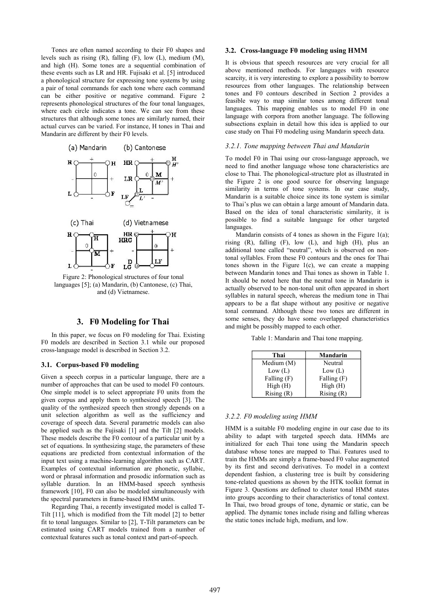Tones are often named according to their F0 shapes and levels such as rising (R), falling (F), low (L), medium (M), and high (H). Some tones are a sequential combination of these events such as LR and HR. Fujisaki et al. [5] introduced a phonological structure for expressing tone systems by using a pair of tonal commands for each tone where each command can be either positive or negative command. Figure 2 represents phonological structures of the four tonal languages, where each circle indicates a tone. We can see from these structures that although some tones are similarly named, their actual curves can be varied. For instance, H tones in Thai and Mandarin are different by their F0 levels.



Figure 2: Phonological structures of four tonal languages [5]; (a) Mandarin, (b) Cantonese, (c) Thai, and (d) Vietnamese.

# **3. F0 Modeling for Thai**

In this paper, we focus on F0 modeling for Thai. Existing F0 models are described in Section 3.1 while our proposed cross-language model is described in Section 3.2.

#### **3.1. Corpus-based F0 modeling**

Given a speech corpus in a particular language, there are a number of approaches that can be used to model F0 contours. One simple model is to select appropriate F0 units from the given corpus and apply them to synthesized speech [3]. The quality of the synthesized speech then strongly depends on a unit selection algorithm as well as the sufficiency and coverage of speech data. Several parametric models can also be applied such as the Fujisaki [1] and the Tilt [2] models. These models describe the F0 contour of a particular unit by a set of equations. In synthesizing stage, the parameters of these equations are predicted from contextual information of the input text using a machine-learning algorithm such as CART. Examples of contextual information are phonetic, syllabic, word or phrasal information and prosodic information such as syllable duration. In an HMM-based speech synthesis framework [10], F0 can also be modeled simultaneously with the spectral parameters in frame-based HMM units.

Regarding Thai, a recently investigated model is called T-Tilt [11], which is modified from the Tilt model [2] to better fit to tonal languages. Similar to [2], T-Tilt parameters can be estimated using CART models trained from a number of contextual features such as tonal context and part-of-speech.

#### **3.2. Cross-language F0 modeling using HMM**

It is obvious that speech resources are very crucial for all above mentioned methods. For languages with resource scarcity, it is very interesting to explore a possibility to borrow resources from other languages. The relationship between tones and F0 contours described in Section 2 provides a feasible way to map similar tones among different tonal languages. This mapping enables us to model F0 in one language with corpora from another language. The following subsections explain in detail how this idea is applied to our case study on Thai F0 modeling using Mandarin speech data.

## *3.2.1. Tone mapping between Thai and Mandarin*

To model F0 in Thai using our cross-language approach, we need to find another language whose tone characteristics are close to Thai. The phonological-structure plot as illustrated in the Figure 2 is one good source for observing language similarity in terms of tone systems. In our case study, Mandarin is a suitable choice since its tone system is similar to Thai's plus we can obtain a large amount of Mandarin data. Based on the idea of tonal characteristic similarity, it is possible to find a suitable language for other targeted languages.

Mandarin consists of 4 tones as shown in the Figure  $1(a)$ ; rising  $(R)$ , falling  $(F)$ , low  $(L)$ , and high  $(H)$ , plus an additional tone called "neutral", which is observed on nontonal syllables. From these F0 contours and the ones for Thai tones shown in the Figure 1(c), we can create a mapping between Mandarin tones and Thai tones as shown in Table 1. It should be noted here that the neutral tone in Mandarin is actually observed to be non-tonal unit often appeared in short syllables in natural speech, whereas the medium tone in Thai appears to be a flat shape without any positive or negative tonal command. Although these two tones are different in some senses, they do have some overlapped characteristics and might be possibly mapped to each other.

Table 1: Mandarin and Thai tone mapping.

| Thai        | Mandarin    |
|-------------|-------------|
| Medium (M)  | Neutral     |
| Low (L)     | Low (L)     |
| Falling (F) | Falling (F) |
| High (H)    | High (H)    |
| Rising(R)   | Rising(R)   |

#### *3.2.2. F0 modeling using HMM*

HMM is a suitable F0 modeling engine in our case due to its ability to adapt with targeted speech data. HMMs are initialized for each Thai tone using the Mandarin speech database whose tones are mapped to Thai. Features used to train the HMMs are simply a frame-based F0 value augmented by its first and second derivatives. To model in a context dependent fashion, a clustering tree is built by considering tone-related questions as shown by the HTK toolkit format in Figure 3. Questions are defined to cluster tonal HMM states into groups according to their characteristics of tonal context. In Thai, two broad groups of tone, dynamic or static, can be applied. The dynamic tones include rising and falling whereas the static tones include high, medium, and low.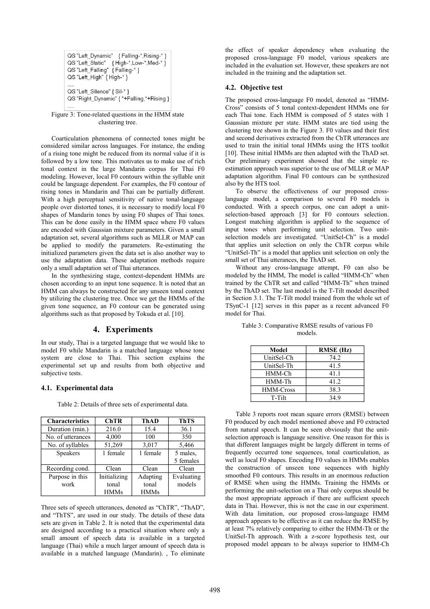| QS "Left Dynamic" { Falling *, Rising * }<br>QS "Left Static" { High-*, Low-*, Med-* }<br>QS "Left Falling" { Falling-* }<br>QS "Left High" { High-* } |  |
|--------------------------------------------------------------------------------------------------------------------------------------------------------|--|
| QS "Left Silence" { Sil-* }<br>QS "Right_Dynamic" { *+Falling, *+Rising }                                                                              |  |

Figure 3: Tone-related questions in the HMM state clustering tree.

Coarticulation phenomena of connected tones might be considered similar across languages. For instance, the ending of a rising tone might be reduced from its normal value if it is followed by a low tone. This motivates us to make use of rich tonal context in the large Mandarin corpus for Thai F0 modeling. However, local F0 contours within the syllable unit could be language dependent. For examples, the F0 contour of rising tones in Mandarin and Thai can be partially different. With a high perceptual sensitivity of native tonal-language people over distorted tones, it is necessary to modify local F0 shapes of Mandarin tones by using F0 shapes of Thai tones. This can be done easily in the HMM space where F0 values are encoded with Gaussian mixture parameters. Given a small adaptation set, several algorithms such as MLLR or MAP can be applied to modify the parameters. Re-estimating the initialized parameters given the data set is also another way to use the adaptation data. These adaptation methods require only a small adaptation set of Thai utterances.

In the synthesizing stage, context-dependent HMMs are chosen according to an input tone sequence. It is noted that an HMM can always be constructed for any unseen tonal context by utilizing the clustering tree. Once we get the HMMs of the given tone sequence, an F0 contour can be generated using algorithms such as that proposed by Tokuda et al. [10].

# **4. Experiments**

In our study, Thai is a targeted language that we would like to model F0 while Mandarin is a matched language whose tone system are close to Thai. This section explains the experimental set up and results from both objective and subjective tests.

#### **4.1. Experimental data**

Table 2: Details of three sets of experimental data.

| <b>Characteristics</b> | <b>ChTR</b>  | <b>ThAD</b> | <b>ThTS</b> |
|------------------------|--------------|-------------|-------------|
| Duration (min.)        | 216.0        | 15.4        | 36.1        |
| No. of utterances      | 4,000        | 100         | 350         |
| No. of syllables       | 51,269       | 3,017       | 5,466       |
| <b>Speakers</b>        | 1 female     | 1 female    | 5 males.    |
|                        |              |             | 5 females   |
| Recording cond.        | Clean        | Clean       | Clean       |
| Purpose in this        | Initializing | Adapting    | Evaluating  |
| work                   | tonal        | tonal       | models      |
|                        | <b>HMMs</b>  | <b>HMMs</b> |             |

Three sets of speech utterances, denoted as "ChTR", "ThAD", and "ThTS", are used in our study. The details of these data sets are given in Table 2. It is noted that the experimental data are designed according to a practical situation where only a small amount of speech data is available in a targeted language (Thai) while a much larger amount of speech data is available in a matched language (Mandarin). , To eliminate the effect of speaker dependency when evaluating the proposed cross-language F0 model, various speakers are included in the evaluation set. However, these speakers are not included in the training and the adaptation set.

#### **4.2. Objective test**

The proposed cross-language F0 model, denoted as "HMM-Cross" consists of 5 tonal context-dependent HMMs one for each Thai tone. Each HMM is composed of 5 states with 1 Gaussian mixture per state. HMM states are tied using the clustering tree shown in the Figure 3. F0 values and their first and second derivatives extracted from the ChTR utterances are used to train the initial tonal HMMs using the HTS toolkit [10]. These initial HMMs are then adapted with the ThAD set. Our preliminary experiment showed that the simple reestimation approach was superior to the use of MLLR or MAP adaptation algorithm. Final F0 contours can be synthesized also by the HTS tool.

To observe the effectiveness of our proposed crosslanguage model, a comparison to several F0 models is conducted. With a speech corpus, one can adopt a unitselection-based approach [3] for F0 contours selection. Longest matching algorithm is applied to the sequence of input tones when performing unit selection. Two unitselection models are investigated. "UnitSel-Ch" is a model that applies unit selection on only the ChTR corpus while "UnitSel-Th" is a model that applies unit selection on only the small set of Thai utterances, the ThAD set.

Without any cross-language attempt, F0 can also be modeled by the HMM, The model is called "HMM-Ch" when trained by the ChTR set and called "HMM-Th" when trained by the ThAD set. The last model is the T-Tilt model described in Section 3.1. The T-Tilt model trained from the whole set of TSynC-1 [12] serves in this paper as a recent advanced F0 model for Thai.

| Model            | <b>RMSE</b> (Hz) |
|------------------|------------------|
| UnitSel-Ch       | 74.2             |
| UnitSel-Th       | 41.5             |
| HMM-Ch           | 41.1             |
| HMM-Th           | 41.2             |
| <b>HMM-Cross</b> | 38.3             |
| T-Tilt           | 349              |

Table 3: Comparative RMSE results of various F0 models.

Table 3 reports root mean square errors (RMSE) between F0 produced by each model mentioned above and F0 extracted from natural speech. It can be seen obviously that the unitselection approach is language sensitive. One reason for this is that different languages might be largely different in terms of frequently occurred tone sequences, tonal coarticulation, as well as local F0 shapes. Encoding F0 values in HMMs enables the construction of unseen tone sequences with highly smoothed F0 contours. This results in an enormous reduction of RMSE when using the HMMs. Training the HMMs or performing the unit-selection on a Thai only corpus should be the most appropriate approach if there are sufficient speech data in Thai. However, this is not the case in our experiment. With data limitation, our proposed cross-language HMM approach appears to be effective as it can reduce the RMSE by at least 7% relatively comparing to either the HMM-Th or the UnitSel-Th approach. With a z-score hypothesis test, our proposed model appears to be always superior to HMM-Ch